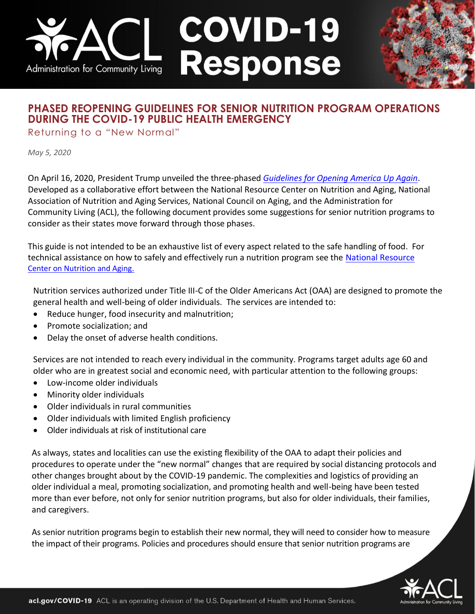# **COVID-19<br>Response** Administration for Community Living

## **PHASED REOPENING GUIDELINES FOR SENIOR NUTRITION PROGRAM OPERATIONS DURING THE COVID-19 PUBLIC HEALTH EMERGENCY**

Returning to a "New Normal"

*May 5, 2020*

On April 16, 2020, President Trump unveiled the three-phased *[Guidelines for Opening America Up Again](https://www.whitehouse.gov/openingamerica/)*. Developed as a collaborative effort between the National Resource Center on Nutrition and Aging, National Association of Nutrition and Aging Services, National Council on Aging, and the Administration for Community Living (ACL), the following document provides some suggestions for senior nutrition programs to consider as their states move forward through those phases.

This guide is not intended to be an exhaustive list of every aspect related to the safe handling of food. For technical assistance on how to safely and effectively run a nutrition program see the [National Resource](http://www.nutritionandaging.org./)  [Center on Nutrition and Aging.](http://www.nutritionandaging.org./)

Nutrition services authorized under Title III-C of the Older Americans Act (OAA) are designed to promote the general health and well-being of older individuals. The services are intended to:

- Reduce hunger, food insecurity and malnutrition;
- Promote socialization; and
- Delay the onset of adverse health conditions.

Services are not intended to reach every individual in the community. Programs target adults age 60 and older who are in greatest social and economic need, with particular attention to the following groups:

- Low-income older individuals
- Minority older individuals
- Older individuals in rural communities
- Older individuals with limited English proficiency
- Older individuals at risk of institutional care

As always, states and localities can use the existing flexibility of the OAA to adapt their policies and procedures to operate under the "new normal" changes that are required by social distancing protocols and other changes brought about by the COVID-19 pandemic. The complexities and logistics of providing an older individual a meal, promoting socialization, and promoting health and well-being have been tested more than ever before, not only for senior nutrition programs, but also for older individuals, their families, and caregivers.

As senior nutrition programs begin to establish their new normal, they will need to consider how to measure the impact of their programs. Policies and procedures should ensure that senior nutrition programs are

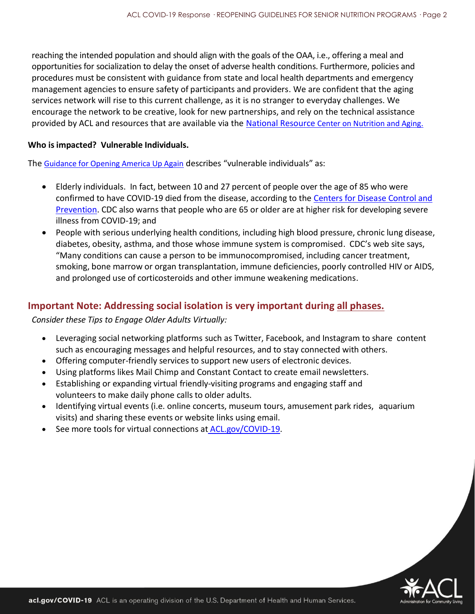reaching the intended population and should align with the goals of the OAA, i.e., offering a meal and opportunities for socialization to delay the onset of adverse health conditions. Furthermore, policies and procedures must be consistent with guidance from state and local health departments and emergency management agencies to ensure safety of participants and providers. We are confident that the aging services network will rise to this current challenge, as it is no stranger to everyday challenges. We encourage the network to be creative, look for new partnerships, and rely on the technical assistance provided by ACL and resources that are available via the National Resource [Center on Nutrition and Aging.](http://www.nutritionandaging.org./)

#### **Who is impacted? Vulnerable Individuals.**

The [Guidance for Opening America Up Again](https://www.whitehouse.gov/openingamerica/) describes "vulnerable individuals" as:

- Elderly individuals. In fact, between 10 and 27 percent of people over the age of 85 who were confirmed to have COVID-19 died from the disease, according to the [Centers for Disease Control and](https://www.cdc.gov/coronavirus/2019-ncov/need-extra-precautions/older-adults.html)  [Prevention.](https://www.cdc.gov/coronavirus/2019-ncov/need-extra-precautions/older-adults.html) CDC also warns that people who are 65 or older are at higher risk for developing severe illness from COVID-19; and
- People with serious underlying health conditions, including high blood pressure, chronic lung disease, diabetes, obesity, asthma, and those whose immune system is compromised. CDC's web site says, "Many conditions can cause a person to be immunocompromised, including cancer treatment, smoking, bone marrow or organ transplantation, immune deficiencies, poorly controlled HIV or AIDS, and prolonged use of corticosteroids and other immune weakening medications.

### **Important Note: Addressing social isolation is very important during all phases.**

*Consider these Tips to Engage Older Adults Virtually:*

- Leveraging social networking platforms such as Twitter, Facebook, and Instagram to share content such as encouraging messages and helpful resources, and to stay connected with others.
- Offering computer-friendly services to support new users of electronic devices.
- Using platforms likes Mail Chimp and Constant Contact to create email newsletters.
- Establishing or expanding virtual friendly-visiting programs and engaging staff and volunteers to make daily phone calls to older adults.
- Identifying virtual events (i.e. online concerts, museum tours, amusement park rides, aquarium visits) and sharing these events or website links using email.
- See more tools for virtual connections at [ACL.gov/COVID-19.](https://acl.gov/node/4776#RemoteToolsAnchor)

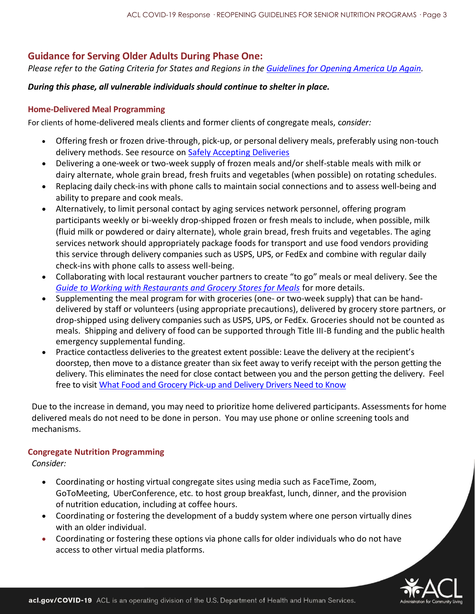## **Guidance for Serving Older Adults During Phase One:**

*Please refer to the Gating Criteria for States and Regions in the [Guidelines for Opening America Up Again.](https://www.whitehouse.gov/openingamerica/)*

#### *During this phase, all vulnerable individuals should continue to shelter in place.*

#### **Home-Delivered Meal Programming**

For clients of home-delivered meals clients and former clients of congregate meals, c*onsider:*

- Offering fresh or frozen drive-through, pick-up, or personal delivery meals, preferably using non-touch delivery methods. See resource on **Safely Accepting Deliveries**
- Delivering a one-week or two-week supply of frozen meals and/or shelf-stable meals with milk or dairy alternate, whole grain bread, fresh fruits and vegetables (when possible) on rotating schedules.
- Replacing daily check-ins with phone calls to maintain social connections and to assess well-being and ability to prepare and cook meals.
- Alternatively, to limit personal contact by aging services network personnel, offering program participants weekly or bi-weekly drop-shipped frozen or fresh meals to include, when possible, milk (fluid milk or powdered or dairy alternate), whole grain bread, fresh fruits and vegetables. The aging services network should appropriately package foods for transport and use food vendors providing this service through delivery companies such as USPS, UPS, or FedEx and combine with regular daily check-ins with phone calls to assess well-being.
- Collaborating with local restaurant voucher partners to create "to go" meals or meal delivery. See the *[Guide to Working with Restaurants and Grocery Stores for Meals](https://nutritionandaging.org/wp-content/uploads/2020/04/Step-By-Step-Guide-Working-with-Restaurants-and-Grocery-Stores-For-Meals-Final-4.17.20.pdf)* for more details.
- Supplementing the meal program for with groceries (one- or two-week supply) that can be handdelivered by staff or volunteers (using appropriate precautions), delivered by grocery store partners, or drop-shipped using delivery companies such as USPS, UPS, or FedEx. Groceries should not be counted as meals. Shipping and delivery of food can be supported through Title III-B funding and the public health emergency supplemental funding.
- Practice contactless deliveries to the greatest extent possible: Leave the delivery at the recipient's doorstep, then move to a distance greater than six feet away to verify receipt with the person getting the delivery. This eliminates the need for close contact between you and the person getting the delivery. Feel free to visit [What Food and Grocery Pick-up and Delivery Drivers Need to Know](https://www.cdc.gov/coronavirus/2019-ncov/community/organizations/food-grocery-drivers.html)

Due to the increase in demand, you may need to prioritize home delivered participants. Assessments for home delivered meals do not need to be done in person. You may use phone or online screening tools and mechanisms.

#### **Congregate Nutrition Programming**

*Consider:*

- Coordinating or hosting virtual congregate sites using media such as FaceTime, Zoom, GoToMeeting, UberConference, etc. to host group breakfast, lunch, dinner, and the provision of nutrition education, including at coffee hours.
- Coordinating or fostering the development of a buddy system where one person virtually dines with an older individual.
- Coordinating or fostering these options via phone calls for older individuals who do not have access to other virtual media platforms.

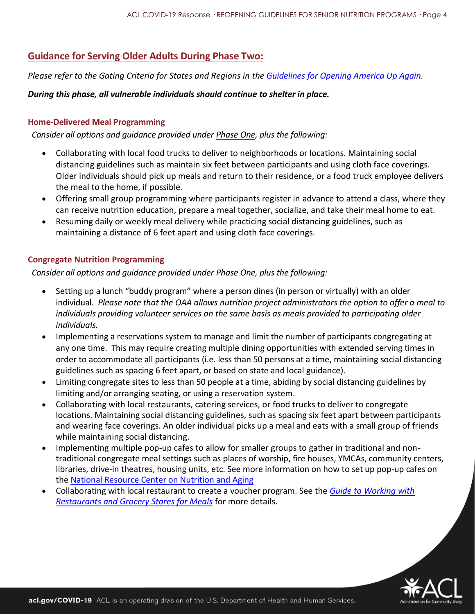## **Guidance for Serving Older Adults During Phase Two:**

*Please refer to the Gating Criteria for States and Regions in the [Guidelines for Opening America Up Again.](https://www.whitehouse.gov/openingamerica/)*

#### *During this phase, all vulnerable individuals should continue to shelter in place.*

#### **Home-Delivered Meal Programming**

*Consider all options and guidance provided under Phase One, plus the following:*

- Collaborating with local food trucks to deliver to neighborhoods or locations. Maintaining social distancing guidelines such as maintain six feet between participants and using cloth face coverings. Older individuals should pick up meals and return to their residence, or a food truck employee delivers the meal to the home, if possible.
- Offering small group programming where participants register in advance to attend a class, where they can receive nutrition education, prepare a meal together, socialize, and take their meal home to eat.
- Resuming daily or weekly meal delivery while practicing social distancing guidelines, such as maintaining a distance of 6 feet apart and using cloth face coverings.

#### **Congregate Nutrition Programming**

*Consider all options and guidance provided under Phase One, plus the following:*

- Setting up a lunch "buddy program" where a person dines (in person or virtually) with an older individual. *Please note that the OAA allows nutrition project administrators the option to offer a meal to individuals providing volunteer services on the same basis as meals provided to participating older individuals.*
- Implementing a reservations system to manage and limit the number of participants congregating at any one time. This may require creating multiple dining opportunities with extended serving times in order to accommodate all participants (i.e. less than 50 persons at a time, maintaining social distancing guidelines such as spacing 6 feet apart, or based on state and local guidance).
- Limiting congregate sites to less than 50 people at a time, abiding by social distancing guidelines by limiting and/or arranging seating, or using a reservation system.
- Collaborating with local restaurants, catering services, or food trucks to deliver to congregate locations. Maintaining social distancing guidelines, such as spacing six feet apart between participants and wearing face coverings. An older individual picks up a meal and eats with a small group of friends while maintaining social distancing.
- Implementing multiple pop-up cafes to allow for smaller groups to gather in traditional and nontraditional congregate meal settings such as places of worship, fire houses, YMCAs, community centers, libraries, drive-in theatres, housing units, etc. See more information on how to set up pop-up cafes on the [National Resource Center on Nutrition and Aging](https://protect2.fireeye.com/url?k=f2bdacbd-aee8a56d-f2bd9d82-0cc47a6a52de-d08aafd932ecbe22&u=https://nutritionandaging.org/innovation-services-hub/)
- Collaborating with local restaurant to create a voucher program. See the *[Guide to Working with](https://nutritionandaging.org/wp-content/uploads/2020/04/Step-By-Step-Guide-Working-with-Restaurants-and-Grocery-Stores-For-Meals-Final-4.17.20.pdf)  [Restaurants and Grocery Stores for Meals](https://nutritionandaging.org/wp-content/uploads/2020/04/Step-By-Step-Guide-Working-with-Restaurants-and-Grocery-Stores-For-Meals-Final-4.17.20.pdf)* for more details.